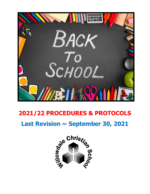

# **2021/22 PROCEDURES & PROTOCOLS**

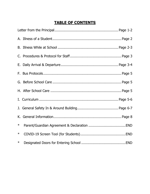## **TABLE OF CONTENTS**

| $\ast$ |  |  |
|--------|--|--|
| $\ast$ |  |  |
| $\ast$ |  |  |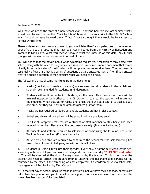#### Letter from the Principal

#### September 2, 2021

Well, here we are at the start of a new school year! If anyone had told me last summer that I would need to send out another "Back to School" booklet to parents prior to the 2021/22 school year, I would not have believed them. If fact, I naively thought things would be totally back to normal by this time!

These updates and protocols are coming to you much later than I anticipated due to the revolving door of changes and updates that have been coming to us from the Ministry of Education and Toronto Public Health. What you receive today is what we know as of this date. Any further changes will be sent to you as we are informed of them.

You will notice that the details about what symptoms require your child/ren to stay home from school, along with the when testing and/or self-isolation is required is now a document that comes directly from the Ministry of Health which will be updated as we receive them. The document is essentially a flow chart that is a series of questions that are answered 'yes' or 'no'. If you answer 'yes' to a specific question, it then explains what you need to do next.

The following is a list of some highlights from the document:

- Masks (medical, non-medical, or cloth) are required for all students in Grade 1-8 and strongly recommended for students in Kindergarten.
- Students will continue to be in cohorts again this year. This means that there will be minimal interaction with other cohorts. If rotation is required, the teachers will move, not the students. When outside for recess and lunch, there will be a total of 5 classes out a one time, but they will play in an area designated just for them.
- Masks are not required outdoors as long as students are not in close contact.
- Arrival and dismissal procedures will be as outlined in a previous email.
- The list of symptoms that require a student or staff member to stay home has been reduced in number. Please read the document carefully. (Document attached.)
- All students and staff are required to self-screen at home using the form included in the 'Back to School' booklet. (Document attached.)
- All students and staff are required to confirm to the school that the self screening has taken place. As we did last year, we will do this as follows:

1. Students in Grade 1-8 will use their agendas. Every day, a parent must conduct the selfscreening with their child/ren and write in the agenda on the correct day **"C-19 OK" and initial it**. This will be checked at the door of every classroom by the teacher. If this is not done, the teacher will need to screen the student prior to entering the classroom and parents will be contacted by the office, if the screening was not completed. If a child/ren arrives to school late, their agenda will be checked by Mrs. Venneri

\*\*On the first day of school, because most students will not yet have their agendas, parents are asked to either print off a copy of the self screening form and initial it or send it a note to say the screen has been successfully completed.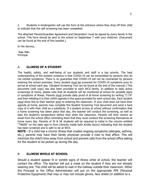2. Students in kindergarten will use the form at the entrance where they drop off their child to indicate that the self screening has been completed.

The attached 'Parent/Guardian Agreement and Declaration' must be signed by every family in the school. This form should be sent to the school on September 7 with your child/ren. (Document can be found at the end of this booklet.)

In His Service,

Cathy Sallows

Principal

#### A. **ILLNESS OF A STUDENT**

The health, safety, and well-being of our students and staff is a top priority. The best understanding of the present evidence is that COVID-19 can be transmitted by persons who do not exhibit symptoms. There is no guarantee that COVID-19 will not be contracted by persons entering the school premises. Every student must be screened for COVID-19 symptoms prior to arrival at school each day. (Student Screening Tool can be found at the end of this manual.) This document (soft copy) has also been provided to each WCS family. In addition to daily active screenings at home, please note that all students will be monitored at school for possible signs or symptoms of illness. Parents must provide daily proof of at-home screening by writing "C-19" and then initialing it in their child's agenda in the space provided for each school day. Each student must show this to their teacher prior to entering the classroom. If your child does not have their agenda at home, parents may complete the Student Screening Tool document and send a hard copy of it with their child as a substitute. If a student arrives at school without confirmation that a home screening has taken place that day, the teacher will conduct the screening, as well as take the student's temperature before they enter the classroom. Parents will then receive an email from the school office reminding them that they must conduct this screening themselves at home every day. Parents of JK & SK students will be required to initial in the column entitled "TAKEN" on the daily sign-in form (directly inside both Kindie doors) indicating that the student has been screened and is safe to be at WCS.

**NOTE -** If a child has a chronic illness that creates ongoing symptoms (allergies, asthma, etc.), parents may have their family physician provide a note to that effect. This will minimize the child's time away from school and prevent calls from the school office asking for the student to be picked up during the day.

### B. **ILLNESS WHILE AT SCHOOL**

Should a student appear ill or exhibit signs of illness while at school, the teacher will contact the office. The teacher will put a mask on the student if they are not already wearing one. The child will be asked to wait in the hallway outside their classroom. Either the Principal or the Office Administrator will put on the appropriate PPE (Personal Protective Equipment) that may or may not include gloves, face shield (in addition to a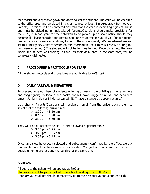face mask) and disposable gown and go to collect the student. The child will be escorted to the office area and be placed in a chair spaced at least 2 metres away from others. Parents/Guardians will be contacted and told that the child is exhibiting signs of illness and must be picked up immediately. All Parents/Guardians should make provisions for the 2020/21 school year for their children to be picked up on short notice should they become ill. Please consider designating someone to do this for you if you find it difficult, due to distance or work obligations, to get to the school quickly. (Parents/Guardians will list this Emergency Contact person on the Information Sheet they will receive during the first week of school.) The student will not be left unattended. Once picked up, the area where the student was waiting, as well as their desk area in the classroom, will be completely disinfected.

#### C. **PROCEDURES & PROTOCOLS FOR STAFF**

All the above protocols and procedures are applicable to WCS staff.

#### D. **DAILY ARRIVAL & DEPARTURE**

To prevent large numbers of students entering or leaving the building at the same time and congregating by lockers and hooks, we will have staggered arrival and departure times. (Junior & Senior Kindergarten will NOT have a staggered departure time.)

Very shortly, Parents/Guardians will receive an email from the office, asking them to select 1 of the following arrival times:

- $\geq 8:00$  am 8:10 am
- $> 8:10 \text{ am} 8:20 \text{ am}$
- $> 8:20$  am 8:30 am.

They will also be asked to select 1 of the following departure times:

- $> 3:15 \text{ pm} 3:25 \text{ pm}$
- $> 3:25 \text{ pm} 3:35 \text{ pm}$
- $> 3:35 \text{ pm} 3:45 \text{ pm}$

Once time slots have been selected and subsequently confirmed by the office, we ask that you honour these times as much as possible. Our goal is to minimize the number of people entering and exciting the building at the same time.

#### **ARRIVAL**

All doors to the school will be opened at 8:00 am. Students will not be permitted into the school building prior to 8:00 am. Upon arrival, students should immediately go to their respective doors and enter the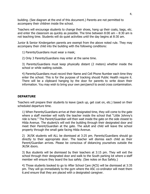building. (See diagram at the end of this document.) Parents are not permitted to accompany their children inside the school.

Teachers will encourage students to change their shoes, hang up their coats, bags, etc. and enter the classroom as quickly as possible. The time between  $8:00$  am  $-8:30$  am is not teaching time. Students will do quiet activities until the day begins at 8:30 am.

Junior & Senior Kindergarten parents are exempt from the above noted rule. They may accompany their child into the building with the following conditions:

1) Parents/Guardians must wear a mask;

2) Only 3 Parents/Guardians may enter at the same time.

3) Parents/Guardians must keep physically distant (2 meters) whether inside the school or while waiting outside.

4) Parents/Guardians must record their Name and Cell Phone Number each time they enter the school. This is for the purpose of tracking should Public Health require it. There will be a clipboard hanging by the door for parents to write down their information. You may wish to bring your own pen/pencil to avoid cross contamination.

#### **DEPARTURE**

Teachers will prepare their students to leave (pack up, get coat on, etc.) based on their scheduled departure time.

1) When Parents/Guardians arrive at their designated time, they will come to the gate where a staff member will notify the teacher inside the school that "Little Johnny's ride is here." The Parent/Guardian will then wait inside the gate on the side closest to Hilda Avenue. The student/s will exit the building through their designated door and meet their Parent/Guardian at the gate. The adult and child will leave the school property through the small gate facing Hilda Avenue.

2) JK/SK students will ALL be dismissed at 3:25 pm. Parents/Guardians should go directly to their appropriate door. The teacher will dismiss each child as their Parent/Guardian arrives. Please be conscious of distancing yourselves outside the JK/SK doors.

3) Bus students will be dismissed by their teachers at 3:15 pm. They will exit the school through their designated door and walk to the South parking lot where a staff member will ensure they board the bus safely. (See notes on Bus Safety.)

4) Those students booked to go to After School Care (ACS) will be dismissed at 3:35 pm. They will go immediately to the gym where the ASC co-ordinator will meet them 6.and ensure that they are placed with a designated caregiver.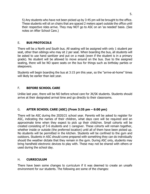5) Any students who have not been picked up by 3:45 pm will be brought to the office. These students will sit on chairs that are spaced 2 meters apart outside the office until their respective rides arrive. They may NOT go to ASC on an 'as needed' basis. (See notes on After School Care.)

#### E. **BUS PROTOCOLS**

There will be a North and South bus. All seating will be assigned with only 1 student per seat, other than siblings who may sit 2 per seat. When boarding the bus, all students will be asked to use hand sanitizer and put on a mask (even if the student is in a primary grade). No student will be allowed to move around on the bus. Due to the assigned seating, there will be NO spare seats on the bus for things such as birthday parties or sleepovers.

Students will begin boarding the bus at 3:15 pm this year, so the "arrive-at-home" times will likely be earlier than last year.

#### F. **BEFORE SCHOOL CARE**

Unlike last year, there will be NO before school care for JK/SK students. Students should arrive at their designated arrival time and go directly to their classrooms.

### G. **AFTER SCHOOL CARE (ASC) (From 3:35 pm – 6:00 pm)**

There will be ASC during the 2020/21 school year. Parents will be asked to register for ASC, indicating the names of their children, what days care will be required and an approximate time when they expect to pick up their child/ren. Small cohorts will be created consisting of 5-6 students and 1 caregiver. These cohorts will remain together, whether inside or outside (the preferred location) until all of them have been picked up. No students will be permitted in the kitchen. Students will be confined to the gym and outdoors. Students in ASC should come prepared with something they can do individually should the weather dictate that they remain in the gym. During ASC only, students may bring handheld electronic devices to play with. These may not be shared with others or used during the school day.

#### H. **CURRICULUM**

There have been some changes to curriculum if it was deemed to create an unsafe environment for our students. The following are some of the changes: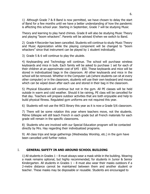1) Although Grade 7 & 8 Band is now permitted, we have chosen to delay the start of Band for a few months until we have a better understanding of how the pandemic is affecting this school year. Starting in September, Grade 7 will be studying Music

Theory and learning to play hand chimes. Grade 8 will also be studying Music Theory and playing "boom whackers". Parents will be advised if/when we switch to Band.

2) Grade 4 Recorder has been cancelled. Students will continue to study Music Theory and Music Appreciation while the playing component will be changed to "boom whackers" since that instrument can be played by 1 student individually.

3) Grade 5 & 6 will continue to play the ukulele.

4) Keyboarding and Technology will continue. The school will purchase wireless keyboards and mice in bulk. Each family will be asked to purchase 1 set for each of their children at an approximate cost of \$45 - \$50. These keyboards and mice will be stored in individualized bags in the classroom. All other keyboards and mice in the school will be removed. Whether in the Computer Lab (where students can sit at every other computer) or in the classroom, students will use their own keyboard and mouse which can be wiped down after each use and stored in their bag in the classroom.

5) Physical Education will continue but not in the gym. All PE classes will be held outside in warm and cold weather. Should it be raining, PE class will be cancelled for that day. Teachers will prepare outdoor activities that are both enjoyable and help to build physical fitness. Regulated gym uniforms are not required this year.

6) Students will not use the WCS library this year as it is now a Grade 5/6 classroom.

7) There will be some rotation this year where teachers move, not the students. Mdme Gillespie will still teach French in each grade but all French materials for each grade will remain in the specific classrooms.

8) Students who are involved with our Special Education program will be contacted directly by Mrs. Hay regarding their individualized programs.

9) All class trips and large gatherings (Wednesday Worship, etc.) in the gym have been cancelled until further notice.

### I. **GENERAL SAFETY IN AND AROUND SCHOOL BUILDING**

1) All students in Grades  $1 - 8$  must always wear a mask while in the building. Wearing a mask remains optional, but highly recommended, for students in Junior & Senior Kindergarten. All students in Grades  $1 - 8$  must also wear their masks outdoors if a 2-metre distance cannot be maintained between them and another student or teacher. These masks may be disposable or reusable. Students are encouraged to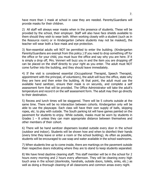have more than 1 mask at school in case they are needed. Parents/Guardians will provide masks for their children.

2) All staff will always wear masks when in the presence of students. These will be provided by the school, their employer. Staff will also have face shields available to them should they wish to wear both. When working closely with a student (such as in the Resource room) or in Kindergarten (where students may not be masked), the teacher will wear both a face mask and eye protection.

3) Non-essential adults will NOT be permitted to enter the building. (Kindergarten Parents/Guardians are exempt from this policy.) If you need to drop something off for the office or for your child, you must buzz the office and say why you are here. If it is simply a drop off, Mrs. Venneri will buzz you in and the item you are dropping off can be placed on the shelf directly to your right as you enter. The adult must NOT come further into the building, and they should leave immediately.

4) If the visit is considered essential (Occupational Therapist, Speech Therapist, appointment with the principal, of volunteers), the adult will buzz the office, state why they are here and then enter the building. At that point, the adult must use the available hand sanitizer, ensure their mask is on securely, and complete a self assessment form that will be provided. The Office Administrator will take the adult's temperature and record it on the self assessment form. The adult may then go directly to their destination.

5) Recess and lunch times will be staggered. There will be 5 cohorts outside at the same time. There will be no interaction between cohorts. Kindergarten only will be able to use the playscape. Each class will have their own supply of balls, skipping ropes, etc. to play with outside. The South parking lot will have games painted on the pavement for students to enjoy. While outside, masks must be worn by students in Grades  $1 - 8$  unless they can main appropriate distance between themselves and other members of their cohort.

6) There will be hand sanitizer dispensers located outside every door in the school (outdoor and indoor). Students will be shown how and when to disinfect their hands (every time they leave or enter a room or the school building). As often as possible, students will be encouraged to use soap and water available in the school washrooms.

7) When students line up to come inside, there are markings on the pavement outside their respective doors indicating where they are to stand to keep students separated.

8) We have hired daytime cleaning staff. This staff member will be in the school for 2 hours every morning and 2 hours every afternoon. They will be cleaning every high touch area in the school (doorknobs, handrails, outside doors, toilets, sinks, etc.) as well as doing a thorough cleaning of all classrooms and common areas every night.